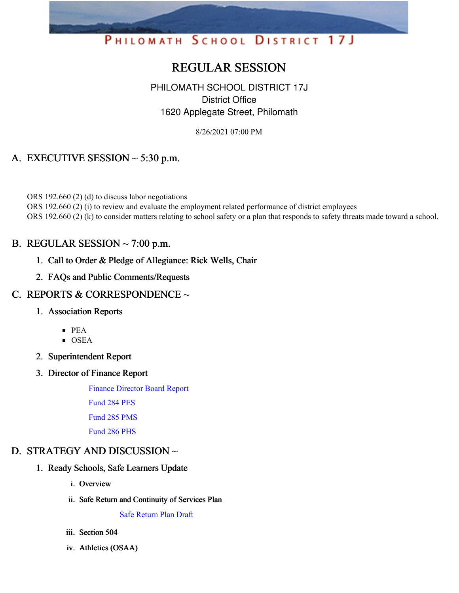# PHILOMATH SCHOOL DISTRICT 17J

# REGULAR SESSION

# PHILOMATH SCHOOL DISTRICT 17J District Office 1620 Applegate Street, Philomath

8/26/2021 07:00 PM

# A. EXECUTIVE SESSION  $\sim$  5:30 p.m.

ORS 192.660 (2) (d) to discuss labor negotiations ORS 192.660 (2) (i) to review and evaluate the employment related performance of district employees ORS 192.660 (2) (k) to consider matters relating to school safety or a plan that responds to safety threats made toward a school.

# B. REGULAR SESSION  $\sim$  7:00 p.m.

- 1. Call to Order & Pledge of Allegiance: Rick Wells, Chair
- 2. FAQs and Public Comments/Requests

# C. REPORTS & CORRESPONDENCE ~

- 1. Association Reports
	- PEA
	- $\overline{\text{OSEA}}$
- 2. Superintendent Report
- 3. Director of Finance Report

Finance [Director](https://app.eduportal.com/documents/view/805057) Board Report

[Fund](https://app.eduportal.com/documents/view/805054) 284 PES

[Fund](https://app.eduportal.com/documents/view/805053) 285 PMS

[Fund](https://app.eduportal.com/documents/view/805055) 286 PHS

# D. STRATEGY AND DISCUSSION ~

- 1. Ready Schools, Safe Learners Update
	- i. Overview
	- ii. Safe Return and Continuity of Services Plan

Safe [Return](https://app.eduportal.com/documents/view/805810) Plan Draft

- iii. Section 504
- iv. Athletics (OSAA)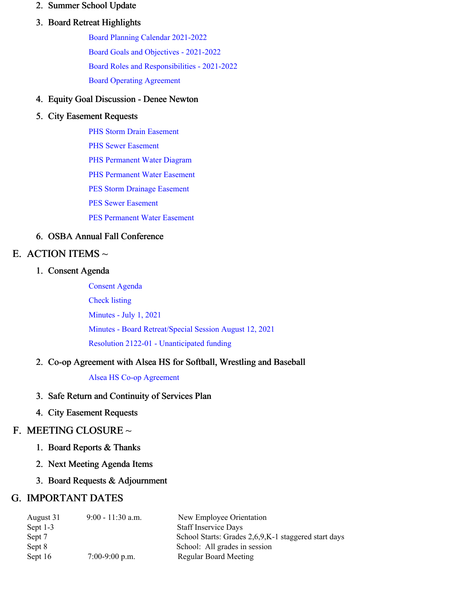#### 2. Summer School Update

### 3. Board Retreat Highlights

Board Planning Calendar [2021-2022](https://app.eduportal.com/documents/view/805063) Board Goals and Objectives - [2021-2022](https://app.eduportal.com/documents/view/805064) Board Roles and [Responsibilities](https://app.eduportal.com/documents/view/805065) - 2021-2022 Board Operating [Agreement](https://app.eduportal.com/documents/view/805062)

#### 4. Equity Goal Discussion - Denee Newton

#### 5. City Easement Requests

PHS Storm Drain [Easement](https://app.eduportal.com/documents/view/805809)

PHS Sewer [Easement](https://app.eduportal.com/documents/view/805808)

PHS [Permanent](https://app.eduportal.com/documents/view/805807) Water Diagram

PHS [Permanent](https://app.eduportal.com/documents/view/805806) Water Easement

PES Storm Drainage [Easement](https://app.eduportal.com/documents/view/805805)

PES Sewer [Easement](https://app.eduportal.com/documents/view/805804)

PES [Permanent](https://app.eduportal.com/documents/view/805803) Water Easement

# 6. OSBA Annual Fall Conference

# E. ACTION ITEMS  $\sim$

#### 1. Consent Agenda

[Consent](https://app.eduportal.com/documents/view/805061) Agenda [Check](https://app.eduportal.com/documents/view/805056) listing [Minutes](https://app.eduportal.com/documents/view/805066) - July 1, 2021 Minutes - Board [Retreat/Special](https://app.eduportal.com/documents/view/805058) Session August 12, 2021 Resolution 2122-01 - [Unanticipated](https://app.eduportal.com/documents/view/805059) funding

# 2. Co-op Agreement with Alsea HS for Softball, Wrestling and Baseball

#### Alsea HS Co-op [Agreement](https://app.eduportal.com/documents/view/805060)

- 3. Safe Return and Continuity of Services Plan
- 4. City Easement Requests

# F. MEETING CLOSURE ~

- 1. Board Reports & Thanks
- 2. Next Meeting Agenda Items
- 3. Board Requests & Adjournment

# G. IMPORTANT DATES

| August 31  | $9:00 - 11:30$ a.m. | New Employee Orientation                              |
|------------|---------------------|-------------------------------------------------------|
| Sept $1-3$ |                     | <b>Staff Inservice Days</b>                           |
| Sept 7     |                     | School Starts: Grades 2,6,9, K-1 staggered start days |
| Sept 8     |                     | School: All grades in session                         |
| Sept 16    | $7:00-9:00$ p.m.    | <b>Regular Board Meeting</b>                          |